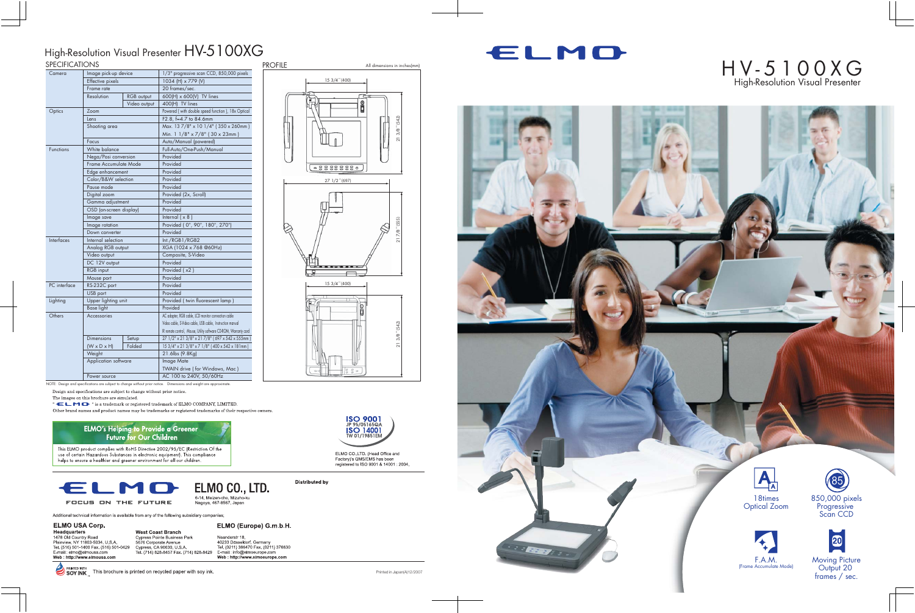NOTE: Design and specifications are subject to change without prior notice. Dimensions and weight are approximate.

Design and specifications are subject to change without prior notice.

The images on this brochure are simulated.

" ELMO-" is a trademark or registered trademark of ELMO COMPANY, LIMITED.

Other brand names and product names may be trademarks or registered trademarks of their respective owners.

## **ELMO's Helping to Provide a Greener**<br>Future for Our Children

This ELMO product complies with RoHS Directive 2002/95/EC (Restriction Of the This can't be product complies with two to be expected to the set of certain Hazardous Substances in electronic equipment). This compliance helps to ensure a healthier and greener environment for all our children.



Additional technical information is available from any of the following subsidiary companies;

#### **ELMO USA Corp.**

Headquarters<br>1478 Old Country Road<br>Plainview, NY 11803-5034, U.S.A. Trainview, NT 11603-5054, O.S.A.<br>Tel. (516) 501-1400 Fax. (516) 501-0429<br>E-mail : elmo@elmousa.com

**West Coast Branch** Cypress Pointe Business Park<br>5676 Corporate Avenue Cypress, CA 90630, U.S.A.<br>Cypress, CA 90630, U.S.A.<br>Tel. (714) 828-8457 Fax. (714) 828-8429

Neanderstr 18,<br>40233 Dusseldorf, Germany Hotobol Dissention, Germaniy<br>Tel. (0211) 386470 Fax. (0211) 376630<br>E-mail : info@elmoeurope.com<br>Web : http://www.elmoeurope.com

ELMO (Europe) G.m.b.H.



ELMO CO., LTD. (Head Office and Factory)'s QMS/EMS has been<br>registered to ISO 9001 & 14001 : 2004.

**Distributed by** 



SOY INK This brochure is printed on recycled paper with soy ink.

Printed in Japan(A)12/2007

#### SPECIFICATIONS High-Resolution Visual Presenter HV-5100XG PROFILE

| SPECIFICATIONS    |                         |              |                                                                  |
|-------------------|-------------------------|--------------|------------------------------------------------------------------|
| Camera            | Image pick-up device    |              | 1/3" progressive scan CCD, 850,000 pixels                        |
|                   | Effective pixels        |              | 1034 (H) x 779 (V)                                               |
|                   | Frame rate              |              | 20 frames/sec.                                                   |
|                   | Resolution              | RGB output   | 600(H) x 600(V) TV lines                                         |
|                   |                         | Video output | 400(H) TV lines                                                  |
| Optics            | Zoom                    |              | Powered (with double speed function), 18x Optical                |
|                   | Lens                    |              | F2.8, f=4.7 to 84.6mm                                            |
|                   | Shooting area           |              | Max. 13 7/8" x 10 1/4" (350 x 260mm)                             |
|                   |                         |              | Min. 1 1/8" x 7/8" (30 x 23mm)                                   |
|                   | Focus                   |              | Auto/Manual (powered)                                            |
| <b>Functions</b>  | White balance           |              | Full-Auto/One-Push/Manual                                        |
|                   | Nega/Posi conversion    |              | Provided                                                         |
|                   | Frame Accumulate Mode   |              | Provided                                                         |
|                   | Edge enhancement        |              | Provided                                                         |
|                   | Color/B&W selection     |              | Provided                                                         |
|                   | Pause mode              |              | Provided                                                         |
|                   | Digital zoom            |              | Provided (2x, Scroll)                                            |
|                   | Gamma adjustment        |              | Provided                                                         |
|                   | OSD (on-screen display) |              | Provided                                                         |
|                   | Image save              |              | Internal $(x 8)$                                                 |
|                   | Image rotation          |              | Provided (0°, 90°, 180°, 270°)                                   |
|                   | Down converter          |              | Provided                                                         |
| <b>Interfaces</b> | Internal selection      |              | Int./RGB1/RGB2                                                   |
|                   | Analog RGB output       |              | XGA (1024 x 768 @60Hz)                                           |
|                   | Video output            |              | Composite, S-Video                                               |
|                   | DC 12V output           |              | Provided                                                         |
|                   | RGB input               |              | Provided (x2)                                                    |
|                   | Mouse port              |              | Provided                                                         |
| PC interface      | RS-232C port            |              | Provided                                                         |
|                   | USB port                |              | Provided                                                         |
| Lighting          | Upper lighting unit     |              | Provided (twin fluorescent lamp)                                 |
|                   | Base light              |              | Provided                                                         |
| Others            | Accessories             |              | AC adapter, RGB cable, LCD monitor connection cable              |
|                   |                         |              | Video cable, S-Video cable, USB cable, Instruction manual        |
|                   |                         |              | IR remote control, Mouse, Utility software CD-ROM, Warranty card |
|                   | Dimensions              | Setup        | 27 1/2" x 21 3/8" x 21 7/8" (697 x 542 x 555mm)                  |
|                   | $(W \times D \times H)$ | Folded       | 15 3/4" x 21 3/8" x 7 1/8" (400 x 542 x 181mm)                   |
|                   | Weight                  |              | 21.6lbs (9.8Kg)                                                  |
|                   | Application software    |              | <b>Image Mate</b>                                                |
|                   |                         |              | TWAIN drive (for Windows, Mac)                                   |
|                   | Power source            |              | AC 100 to 240V, 50/60Hz                                          |

15 3/4"(400)  $(542)$ **Printed in Japan(A)12/2007**<br>
Printed in Japan(A)12/2004.<br>
Printed in Japan(A)12/2007.  $213/8$ 27 1/2"(697)  $\heartsuit$ **B. Book & R. P.** 15 3/4"(400)  $(542)$  $213/8$ "

## ELMO



### All dimensions in inches(mm)  $\mathsf{H}\mathsf{V}$  – 5100XG High-Resolution Visual Presenter

85 850,000 pixels Progressive Scan CCD